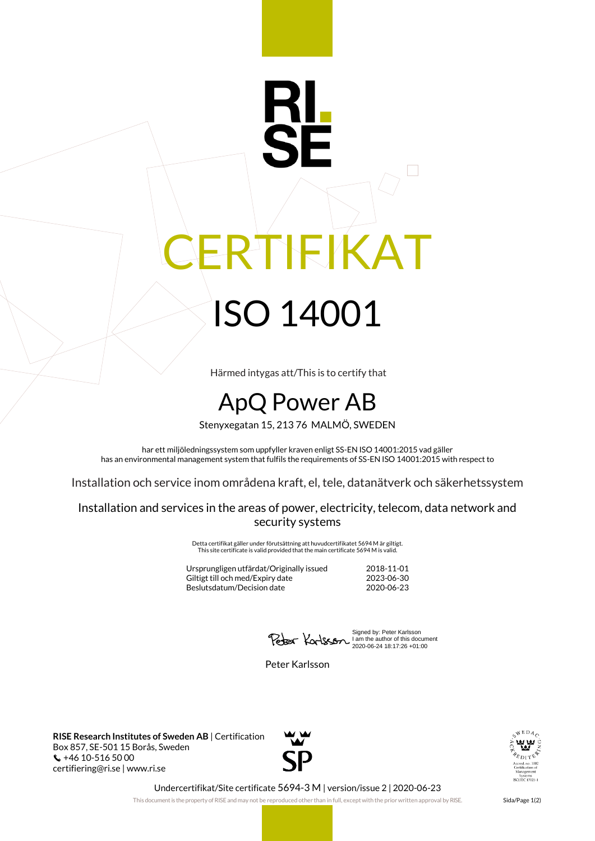## RTIFIKAT ISO 14001

Härmed intygas att/This is to certify that

## ApQ Power AB

Stenyxegatan 15, 213 76 MALMÖ, SWEDEN

har ett miljöledningssystem som uppfyller kraven enligt SS-EN ISO 14001:2015 vad gäller has an environmental management system that fulfils the requirements of SS-EN ISO 14001:2015 with respect to

Installation och service inom områdena kraft, el, tele, datanätverk och säkerhetssystem

Installation and services in the areas of power, electricity, telecom, data network and security systems

> Detta certifikat gäller under förutsättning att huvudcertifikatet 5694 M är giltigt. This site certificate is valid provided that the main certificate 5694 M is valid.

| 2018-11-01 |
|------------|
| 2023-06-30 |
| 2020-06-23 |
|            |

Signed by: Peter Karlsson I am the author of this document 2020-06-24 18:17:26 +01:00

Peter Karlsson

**RISE Research Institutes of Sweden AB** | Certification Box 857, SE-501 15 Borås, Sweden  $\binom{1}{2}$  +46 10-516 50 00 certifiering@ri.se | www.ri.se





Undercertifikat/Site certificate 5694-3 M | version/issue 2 | 2020-06-23

This document is the property of RISE and may not be reproduced other than in full, except with the prior written approval by RISE. Sida/Page 1(2)